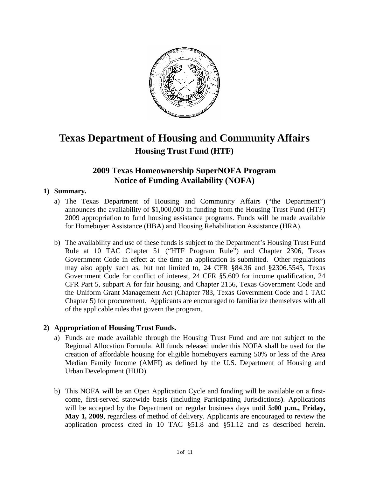

# **Texas Department of Housing and Community Affairs Housing Trust Fund (HTF)**

# **2009 Texas Homeownership SuperNOFA Program Notice of Funding Availability (NOFA)**

# **1) Summary.**

- a) The Texas Department of Housing and Community Affairs ("the Department") announces the availability of \$1,000,000 in funding from the Housing Trust Fund (HTF) 2009 appropriation to fund housing assistance programs. Funds will be made available for Homebuyer Assistance (HBA) and Housing Rehabilitation Assistance (HRA).
- b) The availability and use of these funds is subject to the Department's Housing Trust Fund Rule at 10 TAC Chapter 51 ("HTF Program Rule") and Chapter 2306, Texas Government Code in effect at the time an application is submitted. Other regulations may also apply such as, but not limited to, 24 CFR §84.36 and §2306.5545, Texas Government Code for conflict of interest, 24 CFR §5.609 for income qualification, 24 CFR Part 5, subpart A for fair housing, and Chapter 2156, Texas Government Code and the Uniform Grant Management Act (Chapter 783, Texas Government Code and 1 TAC Chapter 5) for procurement. Applicants are encouraged to familiarize themselves with all of the applicable rules that govern the program.

# **2) Appropriation of Housing Trust Funds.**

- a) Funds are made available through the Housing Trust Fund and are not subject to the Regional Allocation Formula. All funds released under this NOFA shall be used for the creation of affordable housing for eligible homebuyers earning 50% or less of the Area Median Family Income (AMFI) as defined by the U.S. Department of Housing and Urban Development (HUD).
- b) This NOFA will be an Open Application Cycle and funding will be available on a firstcome, first-served statewide basis (including Participating Jurisdictions**)**. Applications will be accepted by the Department on regular business days until **5:00 p.m., Friday, May 1, 2009**, regardless of method of delivery. Applicants are encouraged to review the application process cited in 10 TAC §51.8 and §51.12 and as described herein.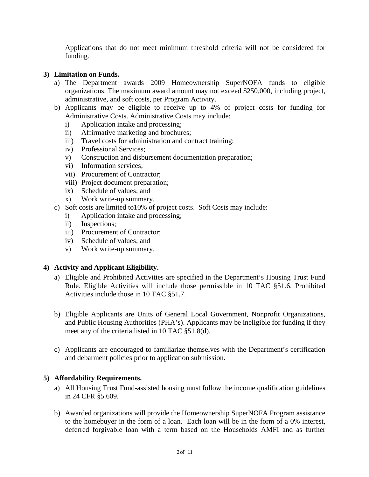Applications that do not meet minimum threshold criteria will not be considered for funding.

# **3) Limitation on Funds.**

- a) The Department awards 2009 Homeownership SuperNOFA funds to eligible organizations. The maximum award amount may not exceed \$250,000, including project, administrative, and soft costs, per Program Activity.
- b) Applicants may be eligible to receive up to 4% of project costs for funding for Administrative Costs. Administrative Costs may include:
	- i) Application intake and processing;
	- ii) Affirmative marketing and brochures;
	- iii) Travel costs for administration and contract training;
	- iv) Professional Services;
	- v) Construction and disbursement documentation preparation;
	- vi) Information services;
	- vii) Procurement of Contractor;
	- viii) Project document preparation;
	- ix) Schedule of values; and
	- x) Work write-up summary.
- c) Soft costs are limited to10% of project costs. Soft Costs may include:
	- i) Application intake and processing;
	- ii) Inspections;
	- iii) Procurement of Contractor;
	- iv) Schedule of values; and
	- v) Work write-up summary.

#### **4) Activity and Applicant Eligibility.**

- a) Eligible and Prohibited Activities are specified in the Department's Housing Trust Fund Rule. Eligible Activities will include those permissible in 10 TAC §51.6. Prohibited Activities include those in 10 TAC §51.7.
- b) Eligible Applicants are Units of General Local Government, Nonprofit Organizations, and Public Housing Authorities (PHA's). Applicants may be ineligible for funding if they meet any of the criteria listed in 10 TAC §51.8(d).
- c) Applicants are encouraged to familiarize themselves with the Department's certification and debarment policies prior to application submission.

#### **5) Affordability Requirements.**

- a) All Housing Trust Fund-assisted housing must follow the income qualification guidelines in 24 CFR §5.609.
- b) Awarded organizations will provide the Homeownership SuperNOFA Program assistance to the homebuyer in the form of a loan. Each loan will be in the form of a 0% interest, deferred forgivable loan with a term based on the Households AMFI and as further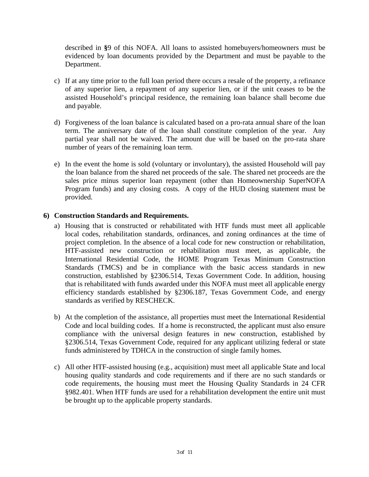described in **§**9 of this NOFA. All loans to assisted homebuyers/homeowners must be evidenced by loan documents provided by the Department and must be payable to the Department.

- c) If at any time prior to the full loan period there occurs a resale of the property, a refinance of any superior lien, a repayment of any superior lien, or if the unit ceases to be the assisted Household's principal residence, the remaining loan balance shall become due and payable.
- d) Forgiveness of the loan balance is calculated based on a pro-rata annual share of the loan term. The anniversary date of the loan shall constitute completion of the year. Any partial year shall not be waived. The amount due will be based on the pro-rata share number of years of the remaining loan term.
- e) In the event the home is sold (voluntary or involuntary), the assisted Household will pay the loan balance from the shared net proceeds of the sale. The shared net proceeds are the sales price minus superior loan repayment (other than Homeownership SuperNOFA Program funds) and any closing costs. A copy of the HUD closing statement must be provided.

#### **6) Construction Standards and Requirements.**

- a) Housing that is constructed or rehabilitated with HTF funds must meet all applicable local codes, rehabilitation standards, ordinances, and zoning ordinances at the time of project completion. In the absence of a local code for new construction or rehabilitation, HTF-assisted new construction or rehabilitation must meet, as applicable, the International Residential Code, the HOME Program Texas Minimum Construction Standards (TMCS) and be in compliance with the basic access standards in new construction, established by §2306.514, Texas Government Code. In addition, housing that is rehabilitated with funds awarded under this NOFA must meet all applicable energy efficiency standards established by §2306.187, Texas Government Code, and energy standards as verified by RESCHECK.
- b) At the completion of the assistance, all properties must meet the International Residential Code and local building codes. If a home is reconstructed, the applicant must also ensure compliance with the universal design features in new construction, established by §2306.514, Texas Government Code, required for any applicant utilizing federal or state funds administered by TDHCA in the construction of single family homes.
- c) All other HTF-assisted housing (e.g., acquisition) must meet all applicable State and local housing quality standards and code requirements and if there are no such standards or code requirements, the housing must meet the Housing Quality Standards in 24 CFR §982.401. When HTF funds are used for a rehabilitation development the entire unit must be brought up to the applicable property standards.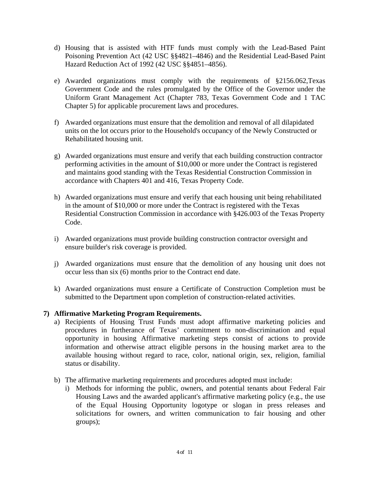- d) Housing that is assisted with HTF funds must comply with the Lead-Based Paint Poisoning Prevention Act (42 USC §§4821–4846) and the Residential Lead-Based Paint Hazard Reduction Act of 1992 (42 USC §§4851–4856).
- e) Awarded organizations must comply with the requirements of §2156.062,Texas Government Code and the rules promulgated by the Office of the Governor under the Uniform Grant Management Act (Chapter 783, Texas Government Code and 1 TAC Chapter 5) for applicable procurement laws and procedures.
- f) Awarded organizations must ensure that the demolition and removal of all dilapidated units on the lot occurs prior to the Household's occupancy of the Newly Constructed or Rehabilitated housing unit.
- g) Awarded organizations must ensure and verify that each building construction contractor performing activities in the amount of \$10,000 or more under the Contract is registered and maintains good standing with the Texas Residential Construction Commission in accordance with Chapters 401 and 416, Texas Property Code.
- h) Awarded organizations must ensure and verify that each housing unit being rehabilitated in the amount of \$10,000 or more under the Contract is registered with the Texas Residential Construction Commission in accordance with §426.003 of the Texas Property Code.
- i) Awarded organizations must provide building construction contractor oversight and ensure builder's risk coverage is provided.
- j) Awarded organizations must ensure that the demolition of any housing unit does not occur less than six (6) months prior to the Contract end date.
- k) Awarded organizations must ensure a Certificate of Construction Completion must be submitted to the Department upon completion of construction-related activities.

# **7) Affirmative Marketing Program Requirements.**

- a) Recipients of Housing Trust Funds must adopt affirmative marketing policies and procedures in furtherance of Texas' commitment to non-discrimination and equal opportunity in housing Affirmative marketing steps consist of actions to provide information and otherwise attract eligible persons in the housing market area to the available housing without regard to race, color, national origin, sex, religion, familial status or disability.
- b) The affirmative marketing requirements and procedures adopted must include:
	- i) Methods for informing the public, owners, and potential tenants about Federal Fair Housing Laws and the awarded applicant's affirmative marketing policy (e.g., the use of the Equal Housing Opportunity logotype or slogan in press releases and solicitations for owners, and written communication to fair housing and other groups);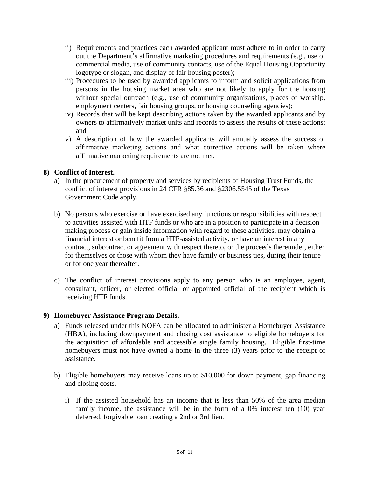- ii) Requirements and practices each awarded applicant must adhere to in order to carry out the Department's affirmative marketing procedures and requirements (e.g., use of commercial media, use of community contacts, use of the Equal Housing Opportunity logotype or slogan, and display of fair housing poster);
- iii) Procedures to be used by awarded applicants to inform and solicit applications from persons in the housing market area who are not likely to apply for the housing without special outreach (e.g., use of community organizations, places of worship, employment centers, fair housing groups, or housing counseling agencies);
- iv) Records that will be kept describing actions taken by the awarded applicants and by owners to affirmatively market units and records to assess the results of these actions; and
- v) A description of how the awarded applicants will annually assess the success of affirmative marketing actions and what corrective actions will be taken where affirmative marketing requirements are not met.

# **8) Conflict of Interest.**

- a) In the procurement of property and services by recipients of Housing Trust Funds, the conflict of interest provisions in 24 CFR §85.36 and §2306.5545 of the Texas Government Code apply.
- b) No persons who exercise or have exercised any functions or responsibilities with respect to activities assisted with HTF funds or who are in a position to participate in a decision making process or gain inside information with regard to these activities, may obtain a financial interest or benefit from a HTF-assisted activity, or have an interest in any contract, subcontract or agreement with respect thereto, or the proceeds thereunder, either for themselves or those with whom they have family or business ties, during their tenure or for one year thereafter.
- c) The conflict of interest provisions apply to any person who is an employee, agent, consultant, officer, or elected official or appointed official of the recipient which is receiving HTF funds.

#### **9) Homebuyer Assistance Program Details.**

- a) Funds released under this NOFA can be allocated to administer a Homebuyer Assistance (HBA), including downpayment and closing cost assistance to eligible homebuyers for the acquisition of affordable and accessible single family housing. Eligible first-time homebuyers must not have owned a home in the three (3) years prior to the receipt of assistance.
- b) Eligible homebuyers may receive loans up to \$10,000 for down payment, gap financing and closing costs.
	- i) If the assisted household has an income that is less than 50% of the area median family income, the assistance will be in the form of a 0% interest ten (10) year deferred, forgivable loan creating a 2nd or 3rd lien.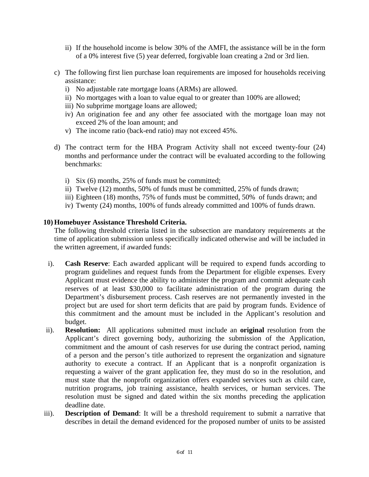- ii) If the household income is below 30% of the AMFI, the assistance will be in the form of a 0% interest five (5) year deferred, forgivable loan creating a 2nd or 3rd lien.
- c) The following first lien purchase loan requirements are imposed for households receiving assistance:
	- i) No adjustable rate mortgage loans (ARMs) are allowed.
	- ii) No mortgages with a loan to value equal to or greater than 100% are allowed;
	- iii) No subprime mortgage loans are allowed;
	- iv) An origination fee and any other fee associated with the mortgage loan may not exceed 2% of the loan amount; and
	- v) The income ratio (back-end ratio) may not exceed 45%.
- d) The contract term for the HBA Program Activity shall not exceed twenty-four (24) months and performance under the contract will be evaluated according to the following benchmarks:
	- i) Six (6) months, 25% of funds must be committed;
	- ii) Twelve (12) months, 50% of funds must be committed, 25% of funds drawn;
	- iii) Eighteen (18) months, 75% of funds must be committed, 50% of funds drawn; and
	- iv) Twenty (24) months, 100% of funds already committed and 100% of funds drawn.

#### **10) Homebuyer Assistance Threshold Criteria.**

The following threshold criteria listed in the subsection are mandatory requirements at the time of application submission unless specifically indicated otherwise and will be included in the written agreement, if awarded funds:

- i). **Cash Reserve**: Each awarded applicant will be required to expend funds according to program guidelines and request funds from the Department for eligible expenses. Every Applicant must evidence the ability to administer the program and commit adequate cash reserves of at least \$30,000 to facilitate administration of the program during the Department's disbursement process. Cash reserves are not permanently invested in the project but are used for short term deficits that are paid by program funds. Evidence of this commitment and the amount must be included in the Applicant's resolution and budget.
- ii). **Resolution:** All applications submitted must include an **original** resolution from the Applicant's direct governing body, authorizing the submission of the Application, commitment and the amount of cash reserves for use during the contract period, naming of a person and the person's title authorized to represent the organization and signature authority to execute a contract. If an Applicant that is a nonprofit organization is requesting a waiver of the grant application fee, they must do so in the resolution, and must state that the nonprofit organization offers expanded services such as child care, nutrition programs, job training assistance, health services, or human services. The resolution must be signed and dated within the six months preceding the application deadline date.
- iii). **Description of Demand**: It will be a threshold requirement to submit a narrative that describes in detail the demand evidenced for the proposed number of units to be assisted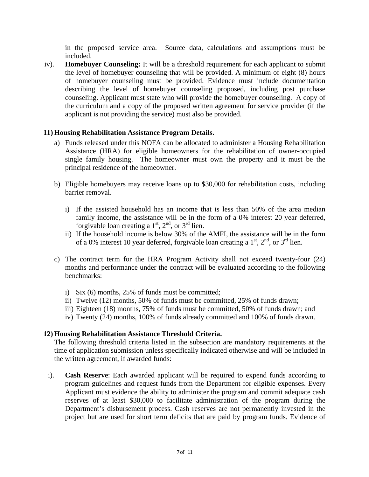in the proposed service area. Source data, calculations and assumptions must be included.

iv). **Homebuyer Counseling:** It will be a threshold requirement for each applicant to submit the level of homebuyer counseling that will be provided. A minimum of eight (8) hours of homebuyer counseling must be provided. Evidence must include documentation describing the level of homebuyer counseling proposed, including post purchase counseling. Applicant must state who will provide the homebuyer counseling. A copy of the curriculum and a copy of the proposed written agreement for service provider (if the applicant is not providing the service) must also be provided.

#### **11) Housing Rehabilitation Assistance Program Details.**

- a) Funds released under this NOFA can be allocated to administer a Housing Rehabilitation Assistance (HRA) for eligible homeowners for the rehabilitation of owner-occupied single family housing. The homeowner must own the property and it must be the principal residence of the homeowner.
- b) Eligible homebuyers may receive loans up to \$30,000 for rehabilitation costs, including barrier removal.
	- i) If the assisted household has an income that is less than 50% of the area median family income, the assistance will be in the form of a 0% interest 20 year deferred, forgivable loan creating a  $1<sup>st</sup>$ ,  $2<sup>nd</sup>$ , or  $3<sup>rd</sup>$  lien.
	- ii) If the household income is below 30% of the AMFI, the assistance will be in the form of a 0% interest 10 year deferred, forgivable loan creating a  $1<sup>st</sup>$ ,  $2<sup>nd</sup>$ , or  $3<sup>rd</sup>$  lien.
- c) The contract term for the HRA Program Activity shall not exceed twenty-four (24) months and performance under the contract will be evaluated according to the following benchmarks:
	- i) Six (6) months, 25% of funds must be committed;
	- ii) Twelve (12) months, 50% of funds must be committed, 25% of funds drawn;
	- iii) Eighteen (18) months, 75% of funds must be committed, 50% of funds drawn; and
	- iv) Twenty (24) months, 100% of funds already committed and 100% of funds drawn.

#### **12) Housing Rehabilitation Assistance Threshold Criteria.**

The following threshold criteria listed in the subsection are mandatory requirements at the time of application submission unless specifically indicated otherwise and will be included in the written agreement, if awarded funds:

i). **Cash Reserve**: Each awarded applicant will be required to expend funds according to program guidelines and request funds from the Department for eligible expenses. Every Applicant must evidence the ability to administer the program and commit adequate cash reserves of at least \$30,000 to facilitate administration of the program during the Department's disbursement process. Cash reserves are not permanently invested in the project but are used for short term deficits that are paid by program funds. Evidence of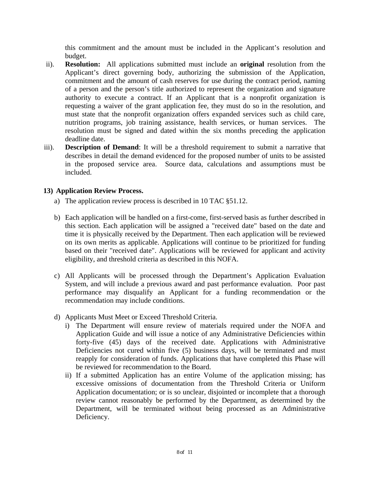this commitment and the amount must be included in the Applicant's resolution and budget.

- ii). **Resolution:** All applications submitted must include an **original** resolution from the Applicant's direct governing body, authorizing the submission of the Application, commitment and the amount of cash reserves for use during the contract period, naming of a person and the person's title authorized to represent the organization and signature authority to execute a contract. If an Applicant that is a nonprofit organization is requesting a waiver of the grant application fee, they must do so in the resolution, and must state that the nonprofit organization offers expanded services such as child care, nutrition programs, job training assistance, health services, or human services. The resolution must be signed and dated within the six months preceding the application deadline date.
- iii). **Description of Demand**: It will be a threshold requirement to submit a narrative that describes in detail the demand evidenced for the proposed number of units to be assisted in the proposed service area. Source data, calculations and assumptions must be included.

# **13) Application Review Process.**

- a) The application review process is described in 10 TAC §51.12.
- b) Each application will be handled on a first-come, first-served basis as further described in this section. Each application will be assigned a "received date" based on the date and time it is physically received by the Department. Then each application will be reviewed on its own merits as applicable. Applications will continue to be prioritized for funding based on their "received date". Applications will be reviewed for applicant and activity eligibility, and threshold criteria as described in this NOFA.
- c) All Applicants will be processed through the Department's Application Evaluation System, and will include a previous award and past performance evaluation. Poor past performance may disqualify an Applicant for a funding recommendation or the recommendation may include conditions.
- d) Applicants Must Meet or Exceed Threshold Criteria.
	- i) The Department will ensure review of materials required under the NOFA and Application Guide and will issue a notice of any Administrative Deficiencies within forty-five (45) days of the received date. Applications with Administrative Deficiencies not cured within five (5) business days, will be terminated and must reapply for consideration of funds. Applications that have completed this Phase will be reviewed for recommendation to the Board.
	- ii) If a submitted Application has an entire Volume of the application missing; has excessive omissions of documentation from the Threshold Criteria or Uniform Application documentation; or is so unclear, disjointed or incomplete that a thorough review cannot reasonably be performed by the Department, as determined by the Department, will be terminated without being processed as an Administrative Deficiency.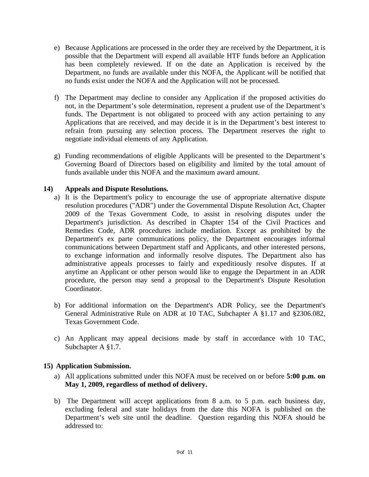- e) Because Applications are processed in the order they are received by the Department, it is possible that the Department will expend all available HTF funds before an Application has been completely reviewed. If on the date an Application is received by the Department, no funds are available under this NOFA, the Applicant will be notified that no funds exist under the NOFA and the Application will not be processed.
- f) The Department may decline to consider any Application if the proposed activities do not, in the Department's sole determination, represent a prudent use of the Department's funds. The Department is not obligated to proceed with any action pertaining to any Applications that are received, and may decide it is in the Department's best interest to refrain from pursuing any selection process. The Department reserves the right to negotiate individual elements of any Application.
- g) Funding recommendations of eligible Applicants will be presented to the Department's Governing Board of Directors based on eligibility and limited by the total amount of funds available under this NOFA and the maximum award amount.

#### **14) Appeals and Dispute Resolutions.**

- a) It is the Department's policy to encourage the use of appropriate alternative dispute resolution procedures ("ADR") under the Governmental Dispute Resolution Act, Chapter 2009 of the Texas Government Code, to assist in resolving disputes under the Department's jurisdiction. As described in Chapter 154 of the Civil Practices and Remedies Code, ADR procedures include mediation. Except as prohibited by the Department's ex parte communications policy, the Department encourages informal communications between Department staff and Applicants, and other interested persons, to exchange information and informally resolve disputes. The Department also has administrative appeals processes to fairly and expeditiously resolve disputes. If at anytime an Applicant or other person would like to engage the Department in an ADR procedure, the person may send a proposal to the Department's Dispute Resolution Coordinator.
- b) For additional information on the Department's ADR Policy, see the Department's General Administrative Rule on ADR at 10 TAC, Subchapter A §1.17 and §2306.082, Texas Government Code.
- c) An Applicant may appeal decisions made by staff in accordance with 10 TAC, Subchapter A §1.7.

# **15) Application Submission.**

- a) All applications submitted under this NOFA must be received on or before **5:00 p.m. on May 1, 2009, regardless of method of delivery.**
- b) The Department will accept applications from 8 a.m. to 5 p.m. each business day, excluding federal and state holidays from the date this NOFA is published on the Department's web site until the deadline. Question regarding this NOFA should be addressed to: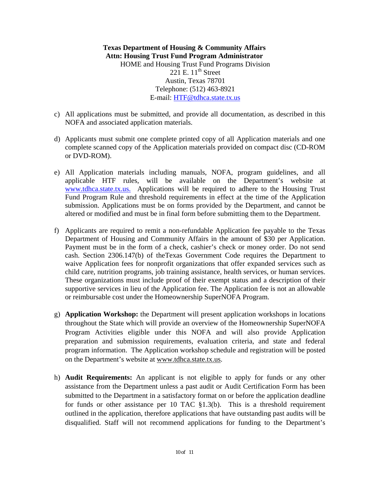**Texas Department of Housing & Community Affairs Attn: Housing Trust Fund Program Administrator**  HOME and Housing Trust Fund Programs Division 221 E.  $11<sup>th</sup>$  Street Austin, Texas 78701 Telephone: (512) 463-8921 E-mail: [HTF@tdhca.state.tx.us](mailto:HOME@tdhca.state.tx.us)

- c) All applications must be submitted, and provide all documentation, as described in this NOFA and associated application materials.
- d) Applicants must submit one complete printed copy of all Application materials and one complete scanned copy of the Application materials provided on compact disc (CD-ROM or DVD-ROM).
- e) All Application materials including manuals, NOFA, program guidelines, and all applicable HTF rules, will be available on the Department's website at [www.tdhca.state.tx.us.](http://www.tdhca.state.tx.us./) Applications will be required to adhere to the Housing Trust Fund Program Rule and threshold requirements in effect at the time of the Application submission. Applications must be on forms provided by the Department, and cannot be altered or modified and must be in final form before submitting them to the Department.
- f) Applicants are required to remit a non-refundable Application fee payable to the Texas Department of Housing and Community Affairs in the amount of \$30 per Application. Payment must be in the form of a check, cashier's check or money order. Do not send cash. Section 2306.147(b) of theTexas Government Code requires the Department to waive Application fees for nonprofit organizations that offer expanded services such as child care, nutrition programs, job training assistance, health services, or human services. These organizations must include proof of their exempt status and a description of their supportive services in lieu of the Application fee. The Application fee is not an allowable or reimbursable cost under the Homeownership SuperNOFA Program.
- g) **Application Workshop:** the Department will present application workshops in locations throughout the State which will provide an overview of the Homeownership SuperNOFA Program Activities eligible under this NOFA and will also provide Application preparation and submission requirements, evaluation criteria, and state and federal program information. The Application workshop schedule and registration will be posted on the Department's website at [www.tdhca.state.tx.us](http://www.tdhca.state.tx.us/).
- h) **Audit Requirements:** An applicant is not eligible to apply for funds or any other assistance from the Department unless a past audit or Audit Certification Form has been submitted to the Department in a satisfactory format on or before the application deadline for funds or other assistance per 10 TAC  $\S 1.3(b)$ . This is a threshold requirement outlined in the application, therefore applications that have outstanding past audits will be disqualified. Staff will not recommend applications for funding to the Department's